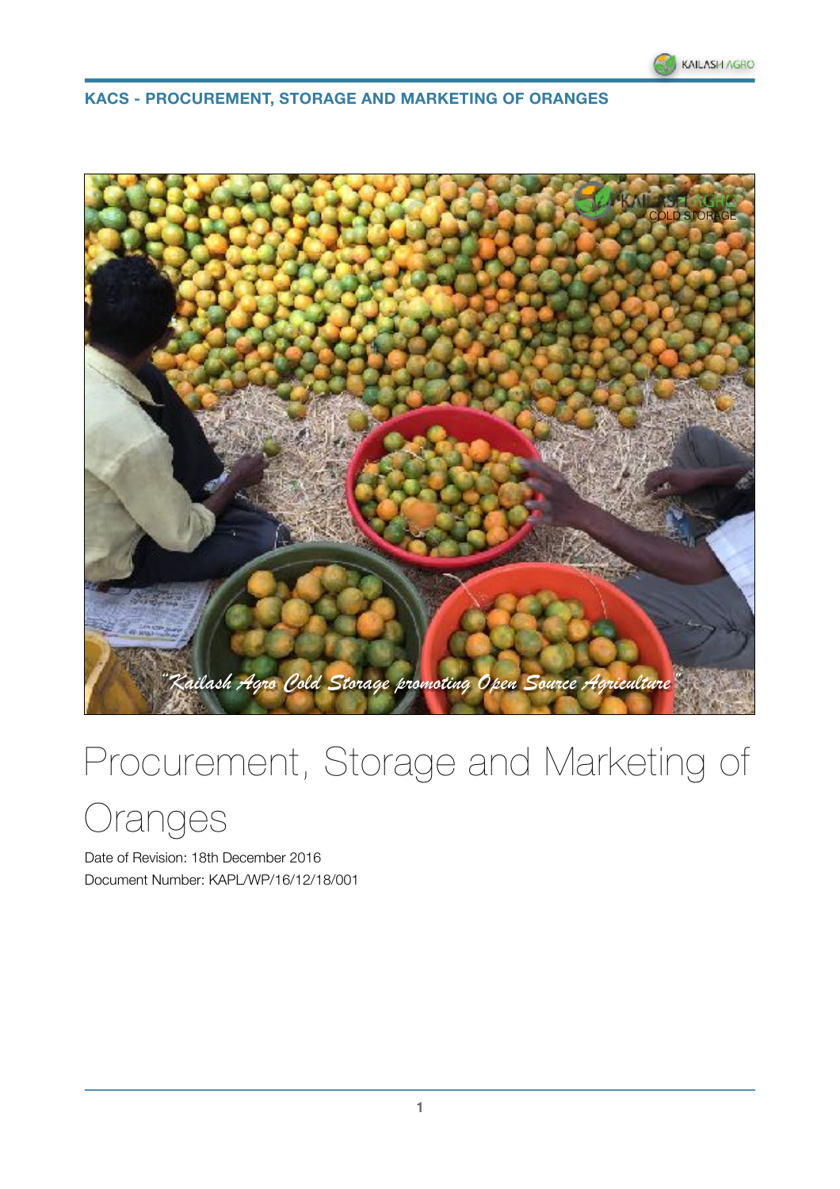



# Procurement, Storage and Marketing of

Oranges

Date of Revision: 18th December 2016 Document Number: KAPL/WP/16/12/18/001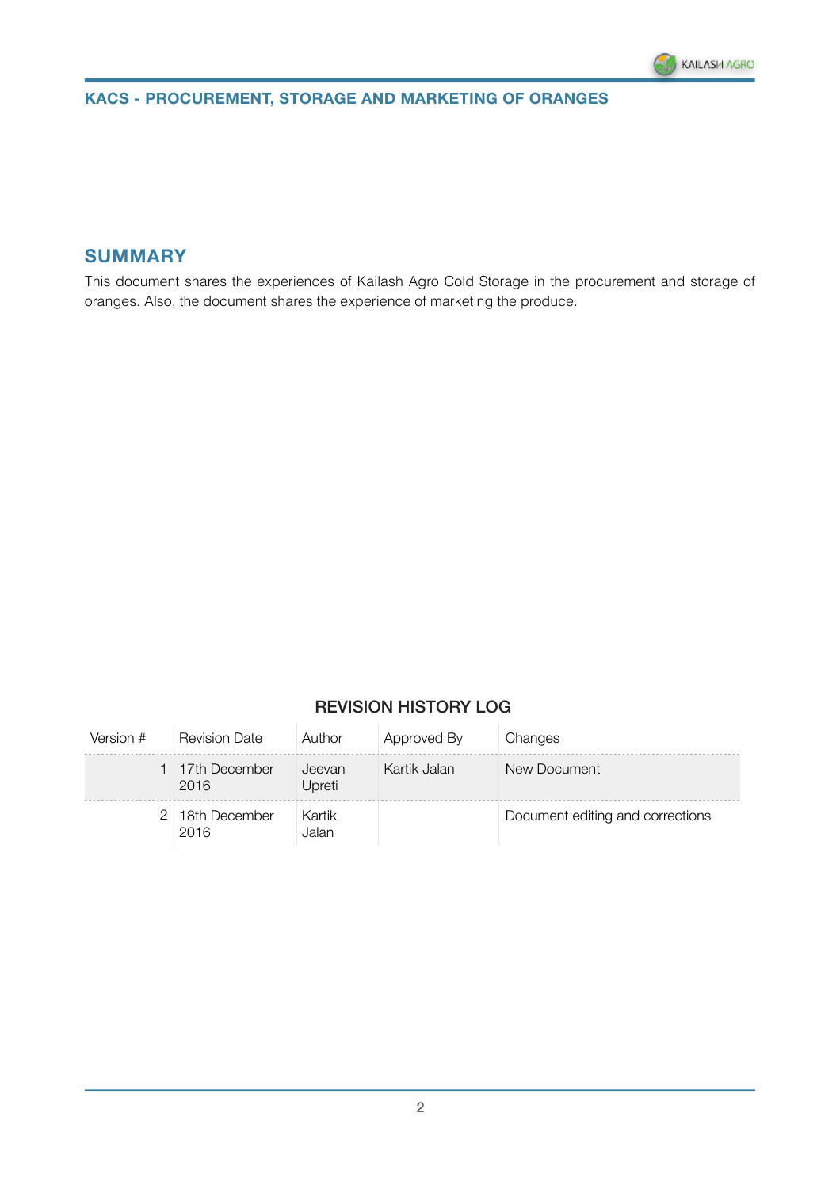

### **SUMMARY**

This document shares the experiences of Kailash Agro Cold Storage in the procurement and storage of oranges. Also, the document shares the experience of marketing the produce.

### REVISION HISTORY LOG

| Version # | <b>Revision Date</b>    | Author           | Approved By  | Changes                          |
|-----------|-------------------------|------------------|--------------|----------------------------------|
|           | 1 17th December<br>2016 | Jeevan<br>Upreti | Kartik Jalan | New Document                     |
|           | 2 18th December<br>2016 | Kartik<br>Jalan  |              | Document editing and corrections |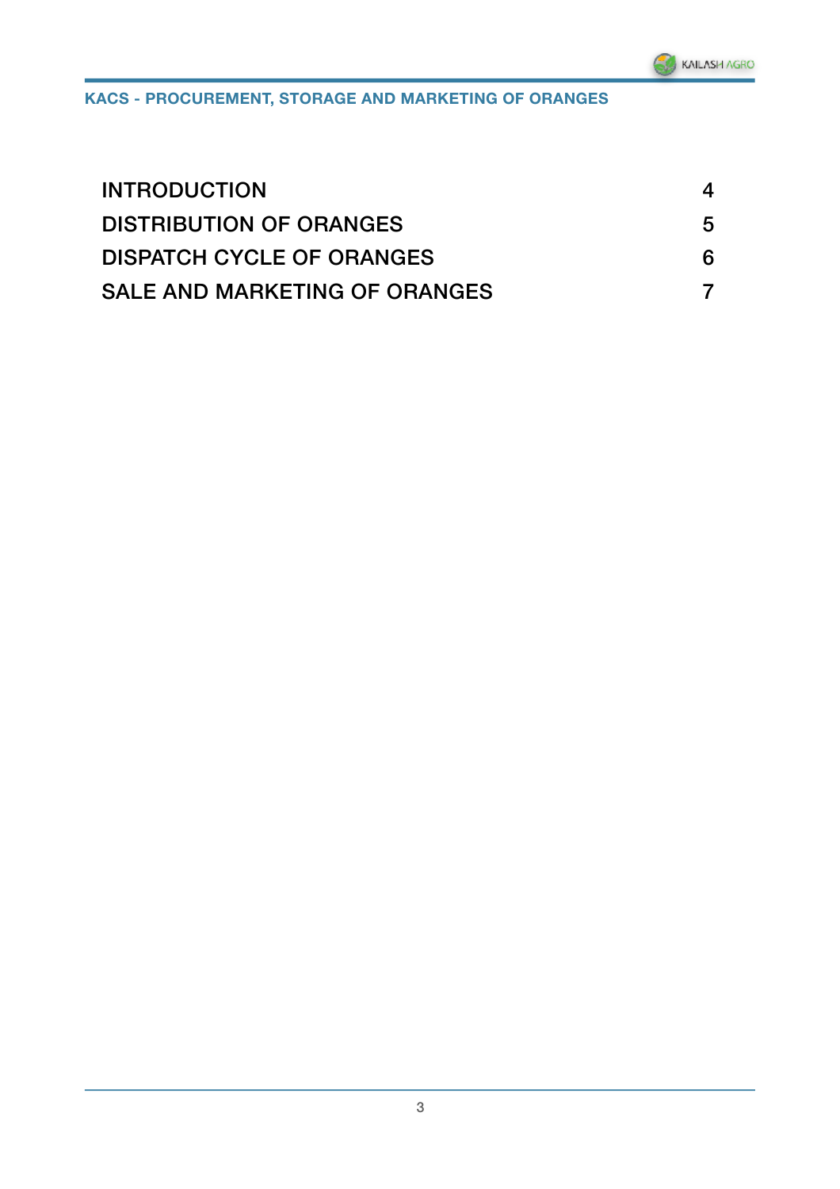| <b>INTRODUCTION</b>              |   |
|----------------------------------|---|
| <b>DISTRIBUTION OF ORANGES</b>   | 5 |
| <b>DISPATCH CYCLE OF ORANGES</b> |   |
| SALE AND MARKETING OF ORANGES    |   |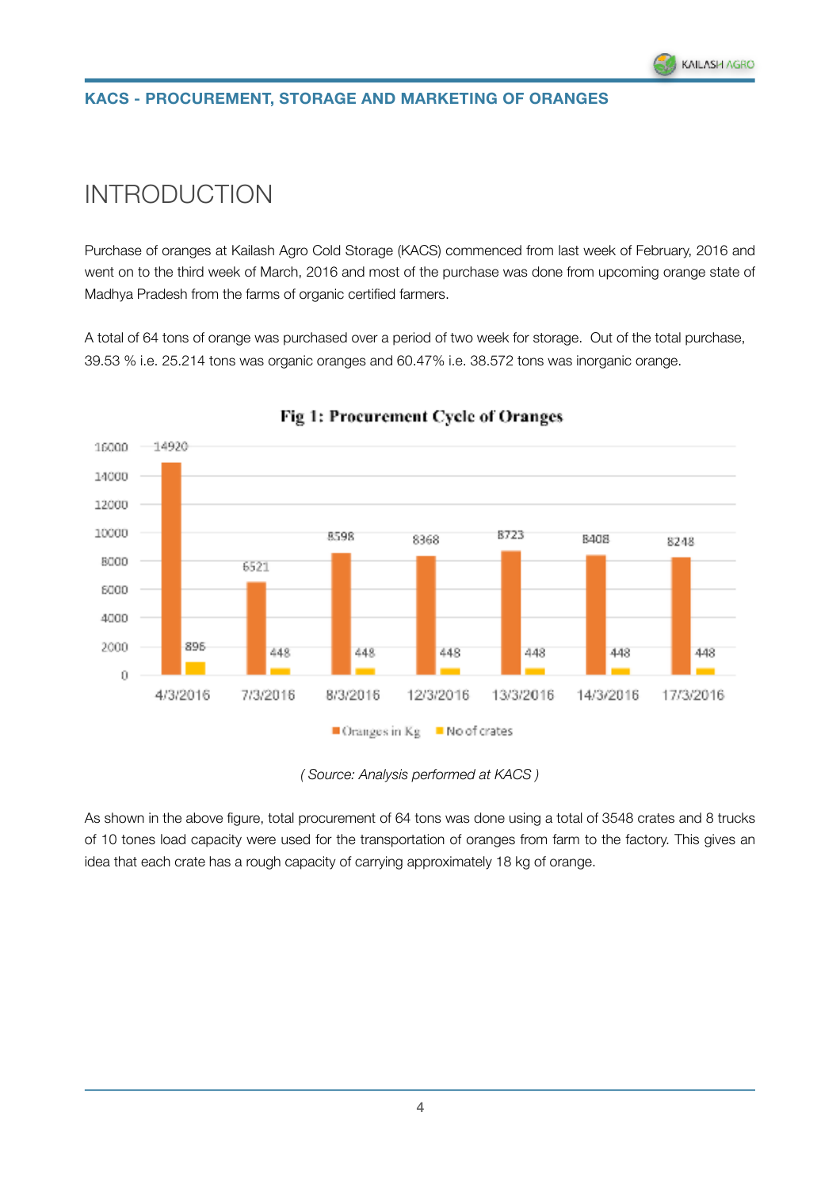# <span id="page-3-0"></span>INTRODUCTION

Purchase of oranges at Kailash Agro Cold Storage (KACS) commenced from last week of February, 2016 and went on to the third week of March, 2016 and most of the purchase was done from upcoming orange state of Madhya Pradesh from the farms of organic certified farmers.

A total of 64 tons of orange was purchased over a period of two week for storage. Out of the total purchase, 39.53 % i.e. 25.214 tons was organic oranges and 60.47% i.e. 38.572 tons was inorganic orange.



#### Fig 1: Procurement Cycle of Oranges

As shown in the above figure, total procurement of 64 tons was done using a total of 3548 crates and 8 trucks of 10 tones load capacity were used for the transportation of oranges from farm to the factory. This gives an idea that each crate has a rough capacity of carrying approximately 18 kg of orange.

*<sup>(</sup> Source: Analysis performed at KACS )*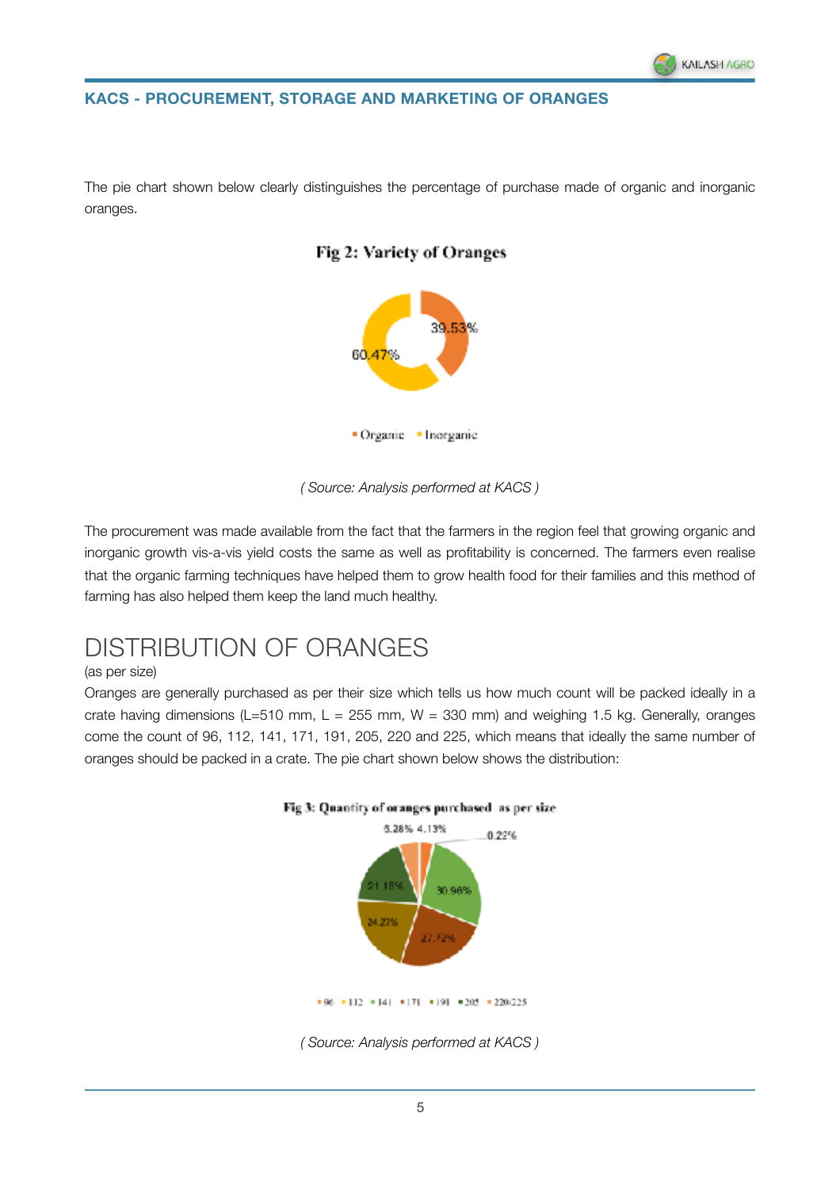The pie chart shown below clearly distinguishes the percentage of purchase made of organic and inorganic oranges.





*( Source: Analysis performed at KACS )* 

The procurement was made available from the fact that the farmers in the region feel that growing organic and inorganic growth vis-a-vis yield costs the same as well as profitability is concerned. The farmers even realise that the organic farming techniques have helped them to grow health food for their families and this method of farming has also helped them keep the land much healthy.

### <span id="page-4-0"></span>DISTRIBUTION OF ORANGES

#### (as per size)

Oranges are generally purchased as per their size which tells us how much count will be packed ideally in a crate having dimensions (L=510 mm, L = 255 mm, W = 330 mm) and weighing 1.5 kg. Generally, oranges come the count of 96, 112, 141, 171, 191, 205, 220 and 225, which means that ideally the same number of oranges should be packed in a crate. The pie chart shown below shows the distribution:





*<sup>(</sup> Source: Analysis performed at KACS )*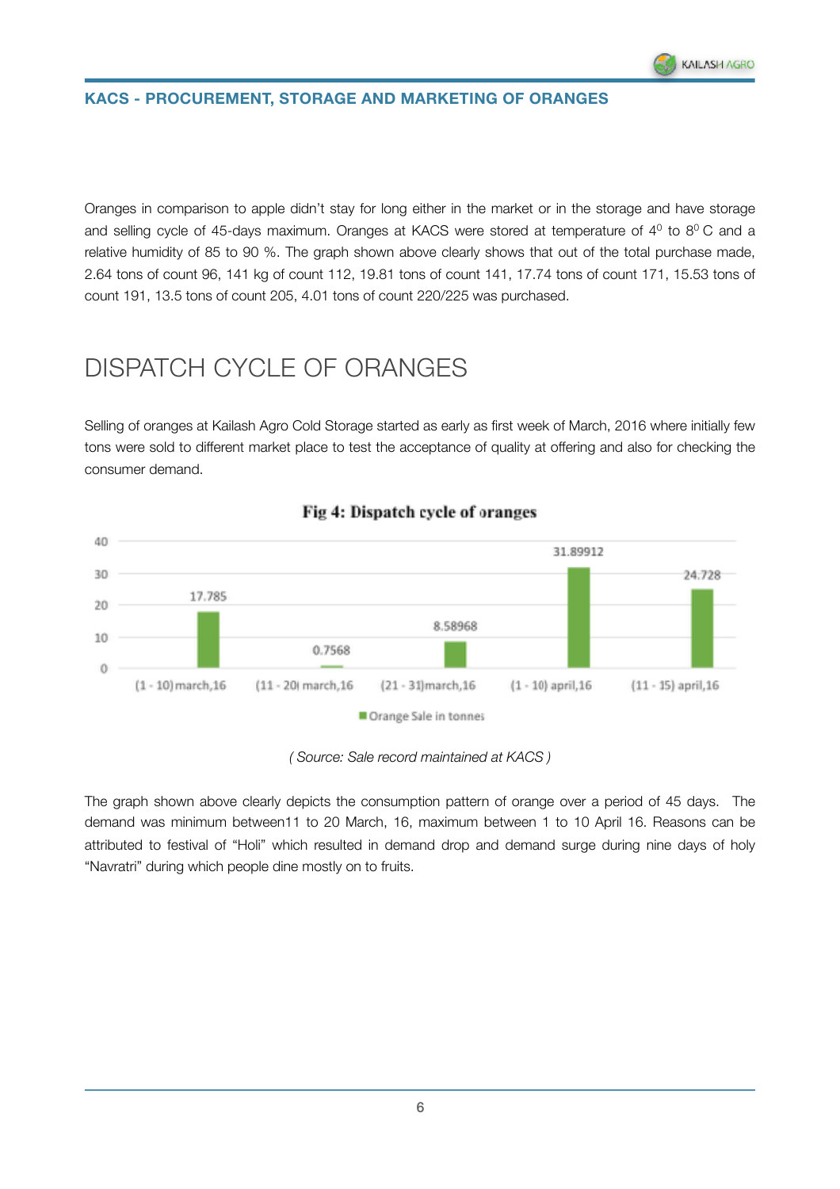

Oranges in comparison to apple didn't stay for long either in the market or in the storage and have storage and selling cycle of 45-days maximum. Oranges at KACS were stored at temperature of 4<sup>0</sup> to 8<sup>0</sup> C and a relative humidity of 85 to 90 %. The graph shown above clearly shows that out of the total purchase made, 2.64 tons of count 96, 141 kg of count 112, 19.81 tons of count 141, 17.74 tons of count 171, 15.53 tons of count 191, 13.5 tons of count 205, 4.01 tons of count 220/225 was purchased.

## <span id="page-5-0"></span>DISPATCH CYCLE OF ORANGES

Selling of oranges at Kailash Agro Cold Storage started as early as first week of March, 2016 where initially few tons were sold to different market place to test the acceptance of quality at offering and also for checking the consumer demand.



#### Fig 4: Dispatch cycle of oranges

*( Source: Sale record maintained at KACS )* 

The graph shown above clearly depicts the consumption pattern of orange over a period of 45 days. The demand was minimum between11 to 20 March, 16, maximum between 1 to 10 April 16. Reasons can be attributed to festival of "Holi" which resulted in demand drop and demand surge during nine days of holy "Navratri" during which people dine mostly on to fruits.